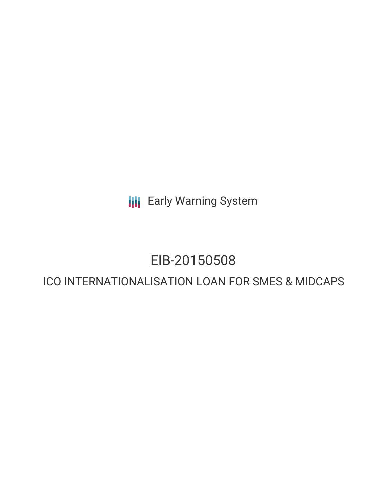**III** Early Warning System

# EIB-20150508

# ICO INTERNATIONALISATION LOAN FOR SMES & MIDCAPS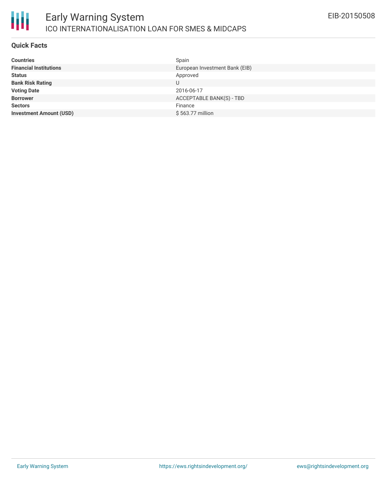#### **Quick Facts**

| <b>Countries</b>               | Spain                          |
|--------------------------------|--------------------------------|
| <b>Financial Institutions</b>  | European Investment Bank (EIB) |
| <b>Status</b>                  | Approved                       |
| <b>Bank Risk Rating</b>        |                                |
| <b>Voting Date</b>             | 2016-06-17                     |
| <b>Borrower</b>                | ACCEPTABLE BANK(S) - TBD       |
| <b>Sectors</b>                 | Finance                        |
| <b>Investment Amount (USD)</b> | \$563.77 million               |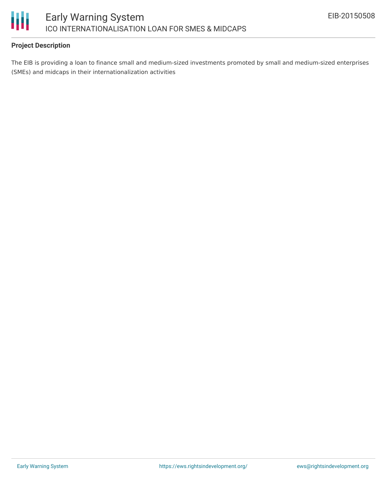

## **Project Description**

The EIB is providing a loan to finance small and medium-sized investments promoted by small and medium-sized enterprises (SMEs) and midcaps in their internationalization activities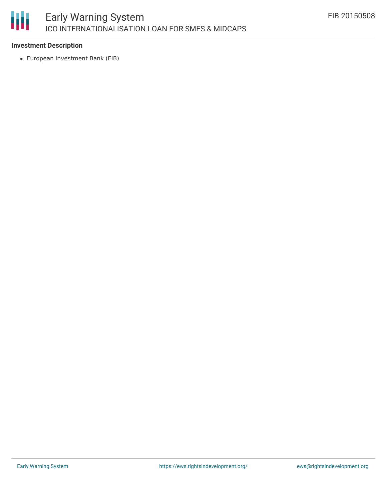### 朋 Early Warning System ICO INTERNATIONALISATION LOAN FOR SMES & MIDCAPS

## **Investment Description**

European Investment Bank (EIB)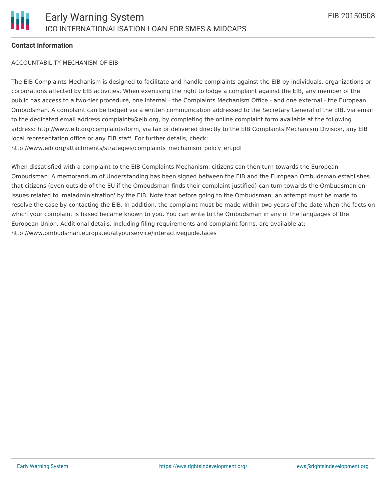#### **Contact Information**

#### ACCOUNTABILITY MECHANISM OF EIB

The EIB Complaints Mechanism is designed to facilitate and handle complaints against the EIB by individuals, organizations or corporations affected by EIB activities. When exercising the right to lodge a complaint against the EIB, any member of the public has access to a two-tier procedure, one internal - the Complaints Mechanism Office - and one external - the European Ombudsman. A complaint can be lodged via a written communication addressed to the Secretary General of the EIB, via email to the dedicated email address complaints@eib.org, by completing the online complaint form available at the following address: http://www.eib.org/complaints/form, via fax or delivered directly to the EIB Complaints Mechanism Division, any EIB local representation office or any EIB staff. For further details, check: http://www.eib.org/attachments/strategies/complaints\_mechanism\_policy\_en.pdf

When dissatisfied with a complaint to the EIB Complaints Mechanism, citizens can then turn towards the European Ombudsman. A memorandum of Understanding has been signed between the EIB and the European Ombudsman establishes that citizens (even outside of the EU if the Ombudsman finds their complaint justified) can turn towards the Ombudsman on issues related to 'maladministration' by the EIB. Note that before going to the Ombudsman, an attempt must be made to resolve the case by contacting the EIB. In addition, the complaint must be made within two years of the date when the facts on which your complaint is based became known to you. You can write to the Ombudsman in any of the languages of the European Union. Additional details, including filing requirements and complaint forms, are available at: http://www.ombudsman.europa.eu/atyourservice/interactiveguide.faces